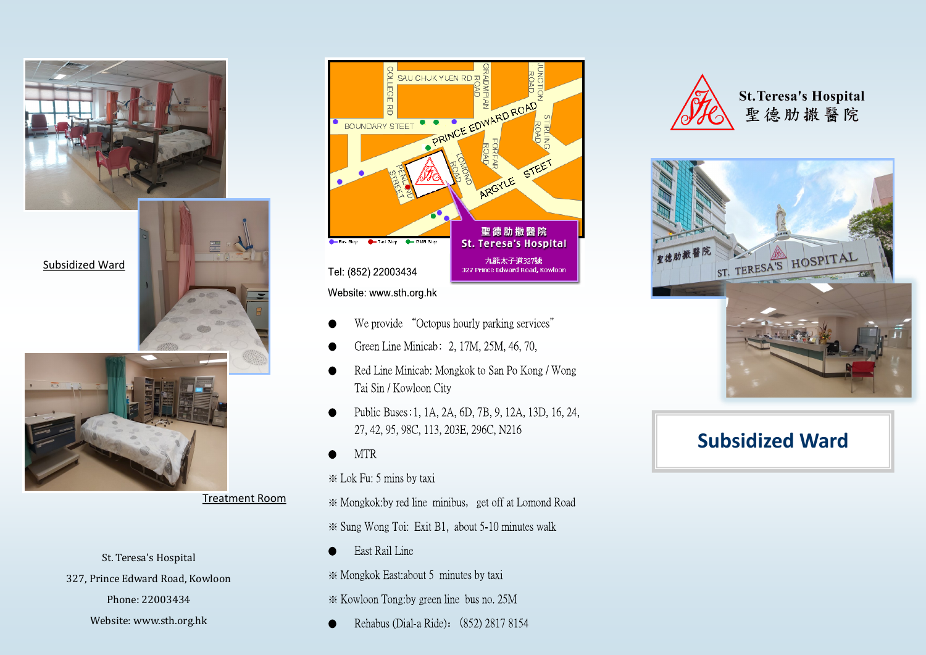



Treatment Room

St. Teresa's Hospital 327, Prince Edward Road, Kowloon Phone: 22003434 Website: www.sth.org.hk



- We provide "Octopus hourly parking services"
- Green Line Minicab: 2, 17M, 25M, 46, 70,
- Red Line Minicab: Mongkok to San Po Kong / Wong Tai Sin / Kowloon City
- Public Buses: 1, 1A, 2A, 6D, 7B, 9, 12A, 13D, 16, 24, 27, 42, 95, 98C, 113, 203E, 296C, N216

**MTR** 

\* Lok Fu: 5 mins by taxi

\* Mongkok:by red line minibus, get off at Lomond Road ☀ Sung Wong Toi: Exit B1, about 5-10 minutes walk

East Rail Line

\* Mongkok East: about 5 minutes by taxi

\* Kowloon Tong:by green line bus no. 25M

Rehabus (Dial-a Ride): (852) 2817 8154



**St. Teresa's Hospital** 聖德肋撒醫院



# **Subsidized Ward**